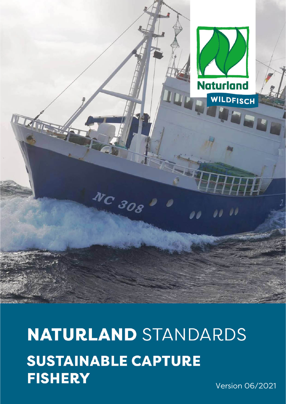

**NATURLAND STANDARDS SUSTAINABLE CAPTURE FISHERY** 

NC 308

Version 06/2021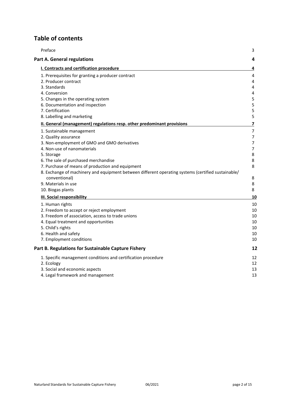# **Table of contents**

| Preface                                                                                                                                                                                                                                                                                                                                                                                                       | 3                                                                                                  |
|---------------------------------------------------------------------------------------------------------------------------------------------------------------------------------------------------------------------------------------------------------------------------------------------------------------------------------------------------------------------------------------------------------------|----------------------------------------------------------------------------------------------------|
| <b>Part A. General regulations</b>                                                                                                                                                                                                                                                                                                                                                                            | 4                                                                                                  |
| I. Contracts and certification procedure                                                                                                                                                                                                                                                                                                                                                                      | 4                                                                                                  |
| 1. Prerequisites for granting a producer contract<br>2. Producer contract<br>3. Standards<br>4. Conversion<br>5. Changes in the operating system<br>6. Documentation and inspection<br>7. Certification                                                                                                                                                                                                       | 4<br>4<br>$\overline{4}$<br>$\overline{\mathbf{4}}$<br>$\mathsf S$<br>5<br>5                       |
| 8. Labelling and marketing<br>II. General (management) regulations resp. other predominant provisions                                                                                                                                                                                                                                                                                                         | 5<br>7                                                                                             |
| 1. Sustainable management<br>2. Quality assurance<br>3. Non-employment of GMO and GMO derivatives<br>4. Non-use of nanomaterials<br>5. Storage<br>6. The sale of purchased merchandise<br>7. Purchase of means of production and equipment<br>8. Exchange of machinery and equipment between different operating systems (certified sustainable/<br>conventional)<br>9. Materials in use<br>10. Biogas plants | $\overline{7}$<br>$\overline{7}$<br>$\overline{7}$<br>$\overline{7}$<br>8<br>8<br>8<br>8<br>8<br>8 |
| <b>III. Social responsibility</b>                                                                                                                                                                                                                                                                                                                                                                             | 10                                                                                                 |
| 1. Human rights<br>2. Freedom to accept or reject employment<br>3. Freedom of association, access to trade unions<br>4. Equal treatment and opportunities<br>5. Child's rights<br>6. Health and safety<br>7. Employment conditions                                                                                                                                                                            | 10<br>10<br>10<br>10<br>10<br>10<br>10                                                             |
| Part B. Regulations for Sustainable Capture Fishery                                                                                                                                                                                                                                                                                                                                                           | 12                                                                                                 |
| 1. Specific management conditions and certification procedure<br>2. Ecology<br>3. Social and economic aspects<br>4. Legal framework and management                                                                                                                                                                                                                                                            | 12<br>12<br>13<br>13                                                                               |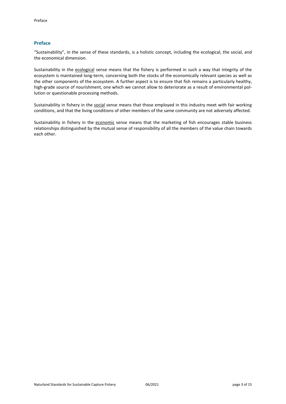# <span id="page-2-0"></span>**Preface**

"Sustainability", in the sense of these standards, is a holistic concept, including the ecological, the social, and the economical dimension.

Sustainability in the ecological sense means that the fishery is performed in such a way that integrity of the ecosystem is maintained long-term, concerning both the stocks of the economically relevant species as well as the other components of the ecosystem. A further aspect is to ensure that fish remains a particularly healthy, high-grade source of nourishment, one which we cannot allow to deteriorate as a result of environmental pollution or questionable processing methods.

Sustainability in fishery in the social sense means that those employed in this industry meet with fair working conditions, and that the living conditions of other members of the same community are not adversely affected.

Sustainability in fishery in the economic sense means that the marketing of fish encourages stable business relationships distinguished by the mutual sense of responsibility of all the members of the value chain towards each other.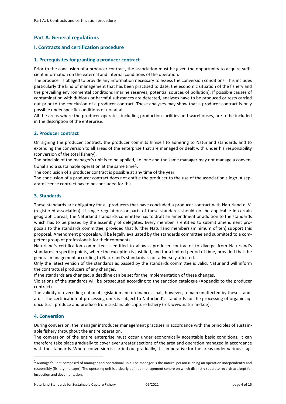# <span id="page-3-0"></span>**Part A. General regulations**

# <span id="page-3-1"></span>**I. Contracts and certification procedure**

# <span id="page-3-2"></span>**1. Prerequisites for granting a producer contract**

Prior to the conclusion of a producer contract, the association must be given the opportunity to acquire sufficient information on the external and internal conditions of the operation.

The producer is obliged to provide any information necessary to assess the conversion conditions. This includes particularly the kind of management that has been practised to date, the economic situation of the fishery and the prevailing environmental conditions (marine reserves, potential sources of pollution). If possible causes of contamination with dubious or harmful substances are detected, analyses have to be produced or tests carried out prior to the conclusion of a producer contract. These analyses may show that a producer contract is only possible under specific conditions or not at all.

All the areas where the producer operates, including production facilities and warehouses, are to be included in the description of the enterprise.

# <span id="page-3-3"></span>**2. Producer contract**

On signing the producer contract, the producer commits himself to adhering to Naturland standards and to extending the conversion to all areas of the enterprise that are managed or dealt with under his responsibility (conversion of the total fishery).

The principle of the manager's unit is to be applied, i.e. one and the same manager may not manage a conven-tional and a sustainable operation at the same time<sup>[1](#page-3-6)</sup>.

The conclusion of a producer contract is possible at any time of the year.

The conclusion of a producer contract does not entitle the producer to the use of the association's logo. A separate licence contract has to be concluded for this.

# <span id="page-3-4"></span>**3. Standards**

These standards are obligatory for all producers that have concluded a producer contract with Naturland e. V. (registered association). If single regulations or parts of these standards should not be applicable in certain geographic areas, the Naturland standards committee has to draft an amendment or addition to the standards which has to be passed by the assembly of delegates. Every member is entitled to submit amendment proposals to the standards committee, provided that further Naturland members (minimum of ten) support this proposal. Amendment proposals will be legally evaluated by the standards committee and submitted to a competent group of professionals for their comments.

Naturland's certification committee is entitled to allow a producer contractor to diverge from Naturland's standards in specific points, where the exception is justified, and for a limited period of time, provided that the general management according to Naturland's standards is not adversely affected.

Only the latest version of the standards as passed by the standards committee is valid. Naturland will inform the contractual producers of any changes.

If the standards are changed, a deadline can be set for the implementation of these changes.

Violations of the standards will be prosecuted according to the sanction catalogue (Appendix to the producer contract).

The validity of overriding national legislation and ordinances shall, however, remain unaffected by these standards. The certification of processing units is subject to Naturland's standards for the processing of organic aquacultural produce and produce from sustainable capture fishery (ref. [www.naturland.de\).](http://www.naturland.de)/)

# <span id="page-3-5"></span>**4. Conversion**

During conversion, the manager introduces management practises in accordance with the principles of sustainable fishery throughout the entire operation.

The conversion of the entire enterprise must occur under economically acceptable basic conditions. It can therefore take place gradually to cover ever greater sections of the area and operation managed in accordance with the standards. Where conversion is carried out gradually, it is imperative for the areas under various stag-

<span id="page-3-6"></span> $1$  Manager's unit: composed of manager and operational unit. The manager is the natural person running an operation independently and responsibly (fishery manager). The operating unit is a clearly defined management sphere on which distinctly separate records are kept for inspection and documentation.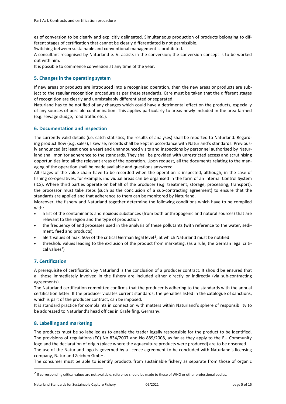es of conversion to be clearly and explicitly delineated. Simultaneous production of products belonging to different stages of certification that cannot be clearly differentiated is not permissible.

Switching between sustainable and conventional management is prohibited.

A consultant recognised by Naturland e. V. assists in the conversion; the conversion concept is to be worked out with him.

<span id="page-4-0"></span>It is possible to commence conversion at any time of the year.

# **5. Changes in the operating system**

If new areas or products are introduced into a recognised operation, then the new areas or products are subject to the regular recognition procedure as per these standards. Care must be taken that the different stages of recognition are clearly and unmistakably differentiated or separated.

Naturland has to be notified of any changes which could have a detrimental effect on the products, especially of any sources of possible contamination. This applies particularly to areas newly included in the area farmed (e.g. sewage sludge, road traffic etc.).

# <span id="page-4-1"></span>**6. Documentation and inspection**

The currently valid details (i.e. catch statistics, the results of analyses) shall be reported to Naturland. Regarding product flow (e.g. sales), likewise, records shall be kept in accordance with Naturland's standards. Previously announced (at least once a year) and unannounced visits and inspections by personnel authorised by Naturland shall monitor adherence to the standards. They shall be provided with unrestricted access and scrutinising opportunities into all the relevant areas of the operation. Upon request, all the documents relating to the managing of the operation shall be made available and questions answered.

All stages of the value chain have to be recorded when the operation is inspected, although, in the case of fishing co-operatives, for example, individual areas can be organised in the form of an Internal Control System (ICS). Where third parties operate on behalf of the producer (e.g. treatment, storage, processing, transport), the processor must take steps (such as the conclusion of a sub-contracting agreement) to ensure that the standards are applied and that adherence to them can be monitored by Naturland.

Moreover, the fishery and Naturland together determine the following conditions which have to be complied with:

- a list of the contaminants and noxious substances (from both anthropogenic and natural sources) that are relevant to the region and the type of production
- the frequency of and processes used in the analysis of these pollutants (with reference to the water, sediment, feed and products)
- $\bullet$  alert values of max. 50% of the critical German legal level<sup>2</sup>, at which Naturland must be notified
- <span id="page-4-4"></span>• threshold values leading to the exclusion of the product from marketing. (as a rule, the German legal critical values<sup>2</sup>)

# <span id="page-4-2"></span>**7. Certification**

A prerequisite of certification by Naturland is the conclusion of a producer contract. It should be ensured that all those immediately involved in the fishery are included either directly or indirectly (via sub-contracting agreements).

The Naturland certification committee confirms that the producer is adhering to the standards with the annual certification letter. If the producer violates current standards, the penalties listed in the catalogue of sanctions, which is part of the producer contract, can be imposed.

It is standard practice for complaints in connection with matters within Naturland's sphere of responsibility to be addressed to Naturland's head offices in Gräfelfing, Germany.

# <span id="page-4-3"></span>**8. Labelling and marketing**

The products must be so labelled as to enable the trader legally responsible for the product to be identified. The provisions of regulations (EC) No 834/2007 and No 889/2008, as far as they apply to the EU Community logo and the declaration of origin (place where the aquaculture products were produced) are to be observed. The use of the Naturland logo is governed by a licence agreement to be concluded with Naturland's licensing company, Naturland Zeichen GmbH.

The consumer must be able to identify products from sustainable fishery as separate from those of organic

<span id="page-4-5"></span><sup>&</sup>lt;sup>2</sup> If corresponding critical values are not available, reference should be made to those of WHO or other professional bodies.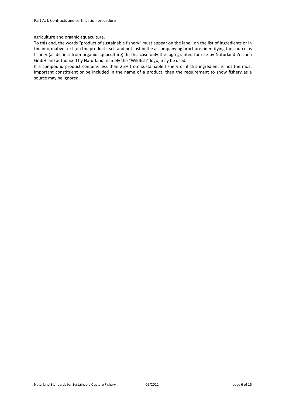# agriculture and organic aquaculture.

To this end, the words "product of sustainable fishery" must appear on the label, on the list of ingredients or in the informative text (on the product itself and not just in the accompanying brochure) identifying the source as fishery (as distinct from organic aquaculture). In this case only the logo granted for use by Naturland Zeichen GmbH and authorised by Naturland, namely the "Wildfish" logo, may be used.

If a compound product contains less than 25% from sustainable fishery or if this ingredient is not the most important constituent or be included in the name of a product, then the requirement to show fishery as a source may be ignored.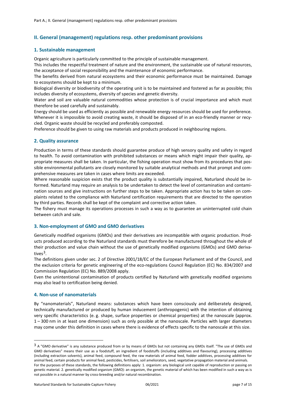# <span id="page-6-0"></span>**II. General (management) regulations resp. other predominant provisions**

# <span id="page-6-1"></span>**1. Sustainable management**

Organic agriculture is particularly committed to the principle of sustainable management.

This includes the respectful treatment of nature and the environment, the sustainable use of natural resources, the acceptance of social responsibility and the maintenance of economic performance.

The benefits derived from natural ecosystems and their economic performance must be maintained. Damage to ecosystems should be kept to a minimum.

Biological diversity or biodiversity of the operating unit is to be maintained and fostered as far as possible; this includes diversity of ecosystems, diversity of species and genetic diversity.

Water and soil are valuable natural commodities whose protection is of crucial importance and which must therefore be used carefully and sustainably.

Energy should be used as efficiently as possible and renewable energy resources should be used for preference. Whenever it is impossible to avoid creating waste, it should be disposed of in an eco-friendly manner or recycled. Organic waste should be recycled and preferably composted.

<span id="page-6-2"></span>Preference should be given to using raw materials and products produced in neighbouring regions.

# **2. Quality assurance**

Production in terms of these standards should guarantee produce of high sensory quality and safety in regard to health. To avoid contamination with prohibited substances or means which might impair their quality, appropriate measures shall be taken. In particular, the fishing operation must show from its procedures that possible environmental pollutants are closely monitored by suitable analytical methods and that prompt and comprehensive measures are taken in cases where limits are exceeded.

Where reasonable suspicion exists that the product quality is substantially impaired, Naturland should be informed. Naturland may require an analysis to be undertaken to detect the level of contamination and contamination sources and give instructions on further steps to be taken. Appropriate action has to be taken on complaints related to the compliance with Naturland certification requirements that are directed to the operation by third parties. Records shall be kept of the complaint and corrective action taken.

The fishery must manage its operations processes in such a way as to guarantee an uninterrupted cold chain between catch and sale.

# <span id="page-6-3"></span>**3. Non-employment of GMO and GMO derivatives**

Genetically modified organisms (GMOs) and their derivatives are incompatible with organic production. Products produced according to the Naturland standards must therefore be manufactured throughout the whole of their production and value chain without the use of genetically modified organisms (GMOs) and GMO derivatives<sup>3</sup>.

The definitions given under sec. 2 of Directive 2001/18/EC of the European Parliament and of the Council, and the exclusion criteria for genetic engineering of the eco-regulations Council Regulation (EC) No. 834/2007 and Commission Regulation (EC) No. 889/2008 apply.

Even the unintentional contamination of products certified by Naturland with genetically modified organisms may also lead to certification being denied.

# <span id="page-6-4"></span>**4. Non-use of nanomaterials**

By "nanomaterials", Naturland means: substances which have been consciously and deliberately designed, technically manufactured or produced by human inducement (anthropogenic) with the intention of obtaining very specific characteristics (e. g. shape, surface properties or chemical properties) at the nanoscale (approx. 1 – 300 nm in at least one dimension) such as only possible at the nanoscale. Particles with larger diameters may come under this definition in cases where there is evidence of effects specific to the nanoscale at this size.

<span id="page-6-5"></span><sup>&</sup>lt;sup>3</sup> A "GMO derivative" is any substance produced from or by means of GMOs but not containing any GMOs itself. "The use of GMOs and GMO derivatives" means their use as a foodstuff, an ingredient of foodstuffs (including additives and flavouring), processing additives (including extraction solvents), animal feed, compound feed, the raw materials of animal feed, fodder additives, processing additives for animal feed, certain products for animal feed, pesticides, fertilisers, soil ameliorators, seed, vegetative propagation material and animals. For the purposes of these standards, the following definitions apply: 1. organism: any biological unit capable of reproduction or passing on genetic material. 2. genetically modified organism (GMO): an organism, the genetic material of which has been modified in such a way as is not possible in a natural manner by cross-breeding and/or natural recombination.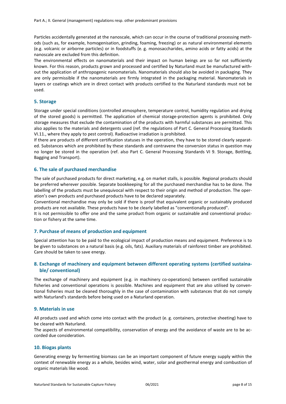Particles accidentally generated at the nanoscale, which can occur in the course of traditional processing methods (such as, for example, homogenisation, grinding, foaming, freezing) or as natural environmental elements (e.g. volcanic or airborne particles) or in foodstuffs (e. g. monosaccharides, amino acids or fatty acids) at the nanoscale are excluded from this definition.

The environmental effects on nanomaterials and their impact on human beings are so far not sufficiently known. For this reason, products grown and processed and certified by Naturland must be manufactured without the application of anthropogenic nanomaterials. Nanomaterials should also be avoided in packaging. They are only permissible if the nanomaterials are firmly integrated in the packaging material. Nanomaterials in layers or coatings which are in direct contact with products certified to the Naturland standards must not be used.

# <span id="page-7-0"></span>**5. Storage**

Storage under special conditions (controlled atmosphere, temperature control, humidity regulation and drying of the stored goods) is permitted. The application of chemical storage-protection agents is prohibited. Only storage measures that exclude the contamination of the products with harmful substances are permitted. This also applies to the materials and detergents used (ref. the regulations of Part C. General Processing Standards VI.11., where they apply to pest control). Radioactive irradiation is prohibited.

If there are products of different certification statuses in the operation, they have to be stored clearly separated. Substances which are prohibited by these standards and contravene the conversion status in question may no longer be stored in the operation (ref. also Part C. General Processing Standards VI 9. Storage, Bottling, Bagging and Transport).

# <span id="page-7-1"></span>**6. The sale of purchased merchandise**

The sale of purchased products for direct marketing, e.g. on market stalls, is possible. Regional products should be preferred wherever possible. Separate bookkeeping for all the purchased merchandise has to be done. The labelling of the products must be unequivocal with respect to their origin and method of production. The operation's own products and purchased products have to be declared separately.

Conventional merchandise may only be sold if there is proof that equivalent organic or sustainably produced products are not available. These products have to be clearly labelled as "conventionally produced".

It is not permissible to offer one and the same product from organic or sustainable and conventional production or fishery at the same time.

# <span id="page-7-2"></span>**7. Purchase of means of production and equipment**

Special attention has to be paid to the ecological impact of production means and equipment. Preference is to be given to substances on a natural basis (e.g. oils, fats). Auxiliary materials of rainforest timber are prohibited. Care should be taken to save energy.

# <span id="page-7-3"></span>**8. Exchange of machinery and equipment between different operating systems (certified sustainable/ conventional)**

The exchange of machinery and equipment (e.g. in machinery co-operations) between certified sustainable fisheries and conventional operations is possible. Machines and equipment that are also utilised by conventional fisheries must be cleaned thoroughly in the case of contamination with substances that do not comply with Naturland's standards before being used on a Naturland operation.

# <span id="page-7-4"></span>**9. Materials in use**

All products used and which come into contact with the product (e. g. containers, protective sheeting) have to be cleared with Naturland.

The aspects of environmental compatibility, conservation of energy and the avoidance of waste are to be accorded due consideration.

# <span id="page-7-5"></span>**10. Biogas plants**

Generating energy by fermenting biomass can be an important component of future energy supply within the context of renewable energy as a whole, besides wind, water, solar and geothermal energy and combustion of organic materials like wood.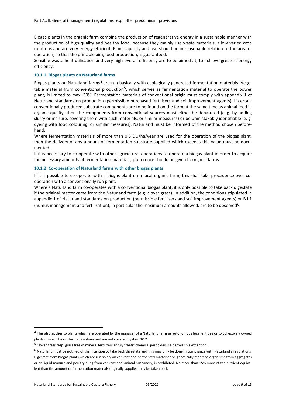Biogas plants in the organic farm combine the production of regenerative energy in a sustainable manner with the production of high-quality and healthy food, because they mainly use waste materials, allow varied crop rotations and are very energy-efficient. Plant capacity and use should be in reasonable relation to the area of operation, so that the principle aim, food production, is guaranteed.

Sensible waste heat utilisation and very high overall efficiency are to be aimed at, to achieve greatest energy efficiency.

# **10.1.1 Biogas plants on Naturland farms**

Biogas plants on Naturland farms<sup>[4](#page-8-0)</sup> are run basically with ecologically generated fermentation materials. Vege-table material from conventional production<sup>[5](#page-8-1)</sup>, which serves as fermentation material to operate the power plant, is limited to max. 30%. Fermentation materials of conventional origin must comply with appendix 1 of Naturland standards on production (permissible purchased fertilisers and soil improvement agents). If certain conventionally produced substrate components are to be found on the farm at the same time as animal feed in organic quality, then the components from conventional sources must either be denatured (e. g. by adding slurry or manure, covering them with such materials, or similar measures) or be unmistakably identifiable (e. g. dyeing with food colouring, or similar measures). Naturland must be informed of the method chosen beforehand.

Where fermentation materials of more than 0.5 DU/ha/year are used for the operation of the biogas plant, then the delivery of any amount of fermentation substrate supplied which exceeds this value must be documented.

If it is necessary to co-operate with other agricultural operations to operate a biogas plant in order to acquire the necessary amounts of fermentation materials, preference should be given to organic farms.

#### **10.1.2 Co-operation of Naturland farms with other biogas plants**

If it is possible to co-operate with a biogas plant on a local organic farm, this shall take precedence over cooperation with a conventionally run plant.

Where a Naturland farm co-operates with a conventional biogas plant, it is only possible to take back digestate if the original matter came from the Naturland farm (e.g. clover grass). In addition, the conditions stipulated in appendix 1 of Naturland standards on production (permissible fertilisers and soil improvement agents) or B.I.1 (humus management and fertilisation), in particular the maximum amounts allowed, are to be observed<sup>[6](#page-8-2)</sup>.

<span id="page-8-0"></span><sup>&</sup>lt;sup>4</sup> This also applies to plants which are operated by the manager of a Naturland farm as autonomous legal entities or to collectively owned plants in which he or she holds a share and are not covered by item 10.2.

<span id="page-8-1"></span><sup>5</sup> Clover grass resp. grass free of mineral fertilizers and synthetic chemical pesticides is a permissible exception.

<span id="page-8-2"></span> $6$  Naturland must be notified of the intention to take back digestate and this may only be done in compliance with Naturland's regulations. Digestate from biogas plants which are run solely on conventional fermented matter or on genetically modified organisms from aggregates or on liquid manure and poultry dung from conventional animal husbandry, is prohibited. No more than 15% more of the nutrient equivalent than the amount of fermentation materials originally supplied may be taken back.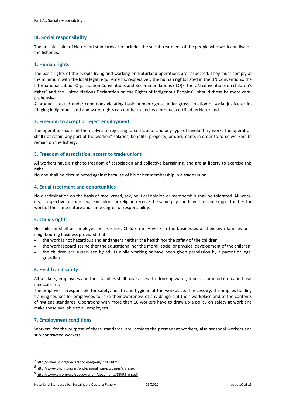# <span id="page-9-0"></span>**III. Social responsibility**

The holistic claim of Naturland standards also includes the social treatment of the people who work and live on the fisheries.

# <span id="page-9-1"></span>**1. Human rights**

The basic rights of the people living and working on Naturland operations are respected. They must comply at the minimum with the local legal requirements, respectively the human rights listed in the UN Conventions, the International Labour Organisation Conventions and Recommendations (ILO)<sup>[7](#page-9-8)</sup>, the UN conventions on children's rights<sup>[8](#page-9-9)</sup> and the United Nations Declaration on the Rights of Indigenous Peoples<sup>9</sup>, should these be more comprehensive.

A product created under conditions violating basic human rights, under gross violation of social justice or infringing indigenous land and water rights can not be traded as a product certified by Naturland.

# <span id="page-9-2"></span>**2. Freedom to accept or reject employment**

The operations commit themselves to rejecting forced labour and any type of involuntary work. The operation shall not retain any part of the workers' salaries, benefits, property, or documents in order to force workers to remain on the fishery.

# <span id="page-9-3"></span>**3. Freedom of association, access to trade unions**

All workers have a right to freedom of association and collective bargaining, and are at liberty to exercise this right.

<span id="page-9-4"></span>No one shall be discriminated against because of his or her membership in a trade union.

# **4. Equal treatment and opportunities**

No discrimination on the basis of race, creed, sex, political opinion or membership shall be tolerated. All workers, irrespective of their sex, skin colour or religion receive the same pay and have the same opportunities for work of the same nature and same degree of responsibility.

# <span id="page-9-5"></span>**5. Child's rights**

No children shall be employed on fisheries. Children may work in the businesses of their own families or a neighbouring business provided that:

- the work is not hazardous and endangers neither the health nor the safety of the children
- the work jeopardises neither the educational nor the moral, social or physical development of the children
- the children are supervised by adults while working or have been given permission by a parent or legal guardian

# <span id="page-9-6"></span>**6. Health and safety**

All workers, employees and their families shall have access to drinking water, food, accommodation and basic medical care.

The employer is responsible for safety, health and hygiene at the workplace. If necessary, this implies holding training courses for employees to raise their awareness of any dangers at their workplace and of the contents of hygiene standards. Operations with more than 10 workers have to draw up a policy on safety at work and make these available to all employees.

# <span id="page-9-7"></span>**7. Employment conditions**

Workers, for the purpose of these standards, are, besides the permanent workers, also seasonal workers and sub-contracted workers.

<span id="page-9-8"></span><sup>7</sup> <http://www.ilo.org/declaration/lang--en/index.htm>

<span id="page-9-9"></span><sup>8</sup> <http://www.ohchr.org/en/professionalinterest/pages/crc.aspx>

<span id="page-9-10"></span><sup>9</sup> [http://www.un.org/esa/socdev/unpfii/documents/DRIPS\\_en.pdf](http://www.un.org/esa/socdev/unpfii/documents/DRIPS_en.pdf)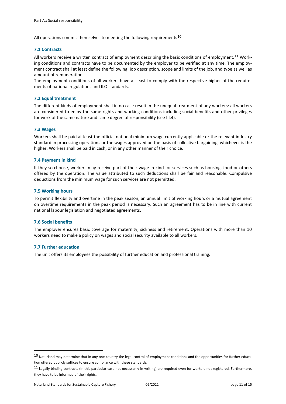All operations commit themselves to meeting the following requirements<sup>10</sup>.

# **7.1 Contracts**

All workers receive a written contract of employment describing the basic conditions of employment.<sup>[11](#page-10-1)</sup> Working conditions and contracts have to be documented by the employer to be verified at any time. The employment contract shall at least define the following: job description, scope and limits of the job, and type as well as amount of remuneration.

The employment conditions of all workers have at least to comply with the respective higher of the requirements of national regulations and ILO standards.

# **7.2 Equal treatment**

The different kinds of employment shall in no case result in the unequal treatment of any workers: all workers are considered to enjoy the same rights and working conditions including social benefits and other privileges for work of the same nature and same degree of responsibility (see III.4).

# **7.3 Wages**

Workers shall be paid at least the official national minimum wage currently applicable or the relevant industry standard in processing operations or the wages approved on the basis of collective bargaining, whichever is the higher. Workers shall be paid in cash, or in any other manner of their choice.

# **7.4 Payment in kind**

If they so choose, workers may receive part of their wage in kind for services such as housing, food or others offered by the operation. The value attributed to such deductions shall be fair and reasonable. Compulsive deductions from the minimum wage for such services are not permitted.

# **7.5 Working hours**

To permit flexibility and overtime in the peak season, an annual limit of working hours or a mutual agreement on overtime requirements in the peak period is necessary. Such an agreement has to be in line with current national labour legislation and negotiated agreements.

# **7.6 Social benefits**

The employer ensures basic coverage for maternity, sickness and retirement. Operations with more than 10 workers need to make a policy on wages and social security available to all workers.

# **7.7 Further education**

The unit offers its employees the possibility of further education and professional training.

<span id="page-10-0"></span> $10$  Naturland may determine that in any one country the legal control of employment conditions and the opportunities for further education offered publicly suffices to ensure compliance with these standards.

<span id="page-10-1"></span> $11$  Legally binding contracts (in this particular case not necessarily in writing) are required even for workers not registered. Furthermore, they have to be informed of their rights.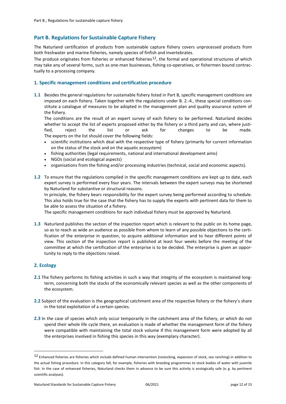# <span id="page-11-0"></span>**Part B. Regulations for Sustainable Capture Fishery**

The Naturland certification of products from sustainable capture fishery covers unprocessed products from both freshwater and marine fisheries, namely species of finfish and invertebrates.

The produce originates from fisheries or enhanced fisheries<sup>12</sup>, the formal and operational structures of which may take any of several forms, such as one-man businesses, fishing co-operatives, or fishermen bound contractually to a processing company.

# <span id="page-11-1"></span>**1. Specific management conditions and certification procedure**

**1.1** Besides the general regulations for sustainable fishery listed in Part B, specific management conditions are imposed on each fishery. Taken together with the regulations under B. 2.-4., these special conditions constitute a catalogue of measures to be adopted in the management plan and quality assurance system of the fishery.

The conditions are the result of an expert survey of each fishery to be performed. Naturland decides whether to accept the list of experts proposed either by the fishery or a third party and can, where justified, reject the list or ask for changes to be made. The experts on the list should cover the following fields:

- scientific institutions which deal with the respective type of fishery (primarily for current information on the status of the stock and on the aquatic ecosystem)
- fishing authorities (legal requirements, national and international development aims)
- NGOs (social and ecological aspects)
- organisations from the fishing and/or processing industries (technical, social and economic aspects).
- **1.2** To ensure that the regulations compiled in the specific management conditions are kept up to date, each expert survey is performed every four years. The intervals between the expert surveys may be shortened by Naturland for substantive or structural reasons.

In principle, the fishery bears responsibility for the expert survey being performed according to schedule. This also holds true for the case that the fishery has to supply the experts with pertinent data for them to be able to assess the situation of a fishery.

The specific management conditions for each individual fishery must be approved by Naturland.

**1.3** Naturland publishes the section of the inspection report which is relevant to the public on its home page, so as to reach as wide an audience as possible from whom to learn of any possible objections to the certification of the enterprise in question, to acquire additional information and to hear different points of view. This section of the inspection report is published at least four weeks before the meeting of the committee at which the certification of the enterprise is to be decided. The enterprise is given an opportunity to reply to the objections raised.

# <span id="page-11-2"></span>**2. Ecology**

- **2.1** The fishery performs its fishing activities in such a way that integrity of the ecosystem is maintained longterm, concerning both the stocks of the economically relevant species as well as the other components of the ecosystem.
- **2.2** Subject of the evaluation is the geographical catchment area of the respective fishery or the fishery's share in the total exploitation of a certain species.
- **2.3** In the case of species which only occur temporarily in the catchment area of the fishery, or which do not spend their whole life cycle there, an evaluation is made of whether the management form of the fishery were compatible with maintaining the total stock volume if this management form were adopted by all the enterprises involved in fishing this species in this way (exemplary character).

<span id="page-11-3"></span><sup>12</sup> Enhanced fisheries are fisheries which include defined human intervention (restocking, expansion of stock, sea ranching) in addition to the actual fishing procedure. In this category fall, for example, fisheries with breeding programmes to stock bodies of water with juvenile fish. In the case of enhanced fisheries, Naturland checks them in advance to be sure this activity is ecologically safe (e.g. by pertinent scientific analyses).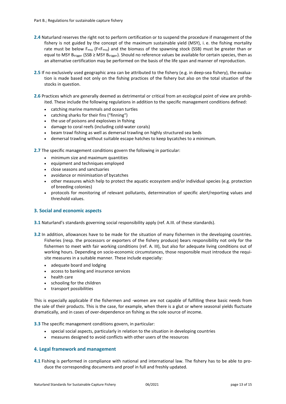- **2.4** Naturland reserves the right not to perform certification or to suspend the procedure if management of the fishery is not guided by the concept of the maximum sustainable yield (MSY), i. e. the fishing mortality rate must be below F<sub>msy</sub> (F<F<sub>msy</sub>) and the biomass of the spawning stock (SSB) must be greater than or equal to MSY Btrigger (SSB  $\geq$  MSY Btrigger). Should no reference values be available for certain species, then as an alternative certification may be performed on the basis of the life span and manner of reproduction.
- **2.5** If no exclusively used geographic area can be attributed to the fishery (e.g. in deep-sea fishery), the evaluation is made based not only on the fishing practices of the fishery but also on the total situation of the stocks in question.
- **2.6** Practices which are generally deemed as detrimental or critical from an ecological point of view are prohibited. These include the following regulations in addition to the specific management conditions defined:
	- catching marine mammals and ocean turtles
	- catching sharks for their fins ("finning")
	- the use of poisons and explosives in fishing
	- damage to coral reefs (including cold-water corals)
	- beam trawl fishing as well as demersal trawling on highly structured sea beds
	- demersal trawling without suitable escape hatches to keep bycatches to a minimum.

**2.7** The specific management conditions govern the following in particular:

- minimum size and maximum quantities
- equipment and techniques employed
- close seasons and sanctuaries
- avoidance or minimisation of bycatches
- other measures which help to protect the aquatic ecosystem and/or individual species (e.g. protection of breeding colonies)
- protocols for monitoring of relevant pollutants, determination of specific alert/reporting values and threshold values.

# <span id="page-12-0"></span>**3. Social and economic aspects**

- **3.1** Naturland's standards governing social responsibility apply (ref. A.III. of these standards).
- **3.2** In addition, allowances have to be made for the situation of many fishermen in the developing countries. Fisheries (resp. the processors or exporters of the fishery produce) bears responsibility not only for the fishermen to meet with fair working conditions (ref. A. III), but also for adequate living conditions out of working hours. Depending on socio-economic circumstances, those responsible must introduce the requisite measures in a suitable manner. These include especially:
	- adequate board and lodging
	- access to banking and insurance services
	- health care
	- schooling for the children
	- transport possibilities

This is especially applicable if the fishermen and -women are not capable of fulfilling these basic needs from the sale of their products. This is the case, for example, when there is a glut or where seasonal yields fluctuate dramatically, and in cases of over-dependence on fishing as the sole source of income.

**3.3** The specific management conditions govern, in particular:

- special social aspects, particularly in relation to the situation in developing countries
- measures designed to avoid conflicts with other users of the resources

# <span id="page-12-1"></span>**4. Legal framework and management**

**4.1** Fishing is performed in compliance with national and international law. The fishery has to be able to produce the corresponding documents and proof in full and freshly updated.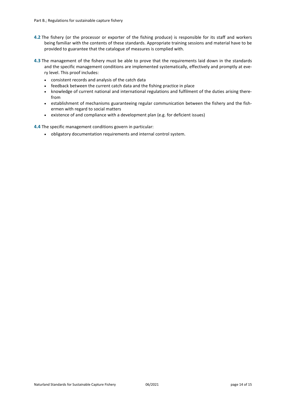- **4.2** The fishery (or the processor or exporter of the fishing produce) is responsible for its staff and workers being familiar with the contents of these standards. Appropriate training sessions and material have to be provided to guarantee that the catalogue of measures is complied with.
- **4.3** The management of the fishery must be able to prove that the requirements laid down in the standards and the specific management conditions are implemented systematically, effectively and promptly at every level. This proof includes:
	- consistent records and analysis of the catch data
	- feedback between the current catch data and the fishing practice in place
	- knowledge of current national and international regulations and fulfilment of the duties arising therefrom
	- establishment of mechanisms guaranteeing regular communication between the fishery and the fishermen with regard to social matters
	- existence of and compliance with a development plan (e.g. for deficient issues)

**4.4** The specific management conditions govern in particular:

• obligatory documentation requirements and internal control system.